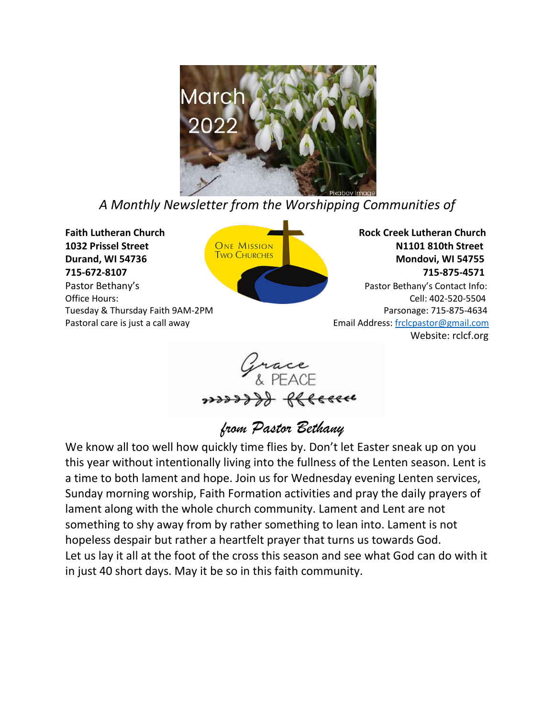

*A Monthly Newsletter from the Worshipping Communities of*



**1032 Prissel Street CONE MISSION CONEXAGE AND STREET AND STREET AND STREET AND STREET AND STREET AND STREET AND STREET AND STREET AND STREET AND STREET AND STREET AND STREET AND STREET AND STREET AND STREET AND STREET AND Durand, WI 54736** Mondovi, WI 54755 Mondovi, WI 54755 **715-672-8107 715-875-4571** Pastor Bethany'sPastor Bethany's Contact Info: Office Hours: Cell: 402-520-5504 Tuesday & Thursday Faith 9AM-2PM **Parsonage: 715-875-4634** Parsonage: 715-875-4634 Pastoral care is just a call away extended the set of the set of the Email Address[: frclcpastor@gmail.com](mailto:frclcpastor@gmail.com) Website: rclcf.org



# *from Pastor Bethany*

We know all too well how quickly time flies by. Don't let Easter sneak up on you this year without intentionally living into the fullness of the Lenten season. Lent is a time to both lament and hope. Join us for Wednesday evening Lenten services, Sunday morning worship, Faith Formation activities and pray the daily prayers of lament along with the whole church community. Lament and Lent are not something to shy away from by rather something to lean into. Lament is not hopeless despair but rather a heartfelt prayer that turns us towards God. Let us lay it all at the foot of the cross this season and see what God can do with it in just 40 short days. May it be so in this faith community.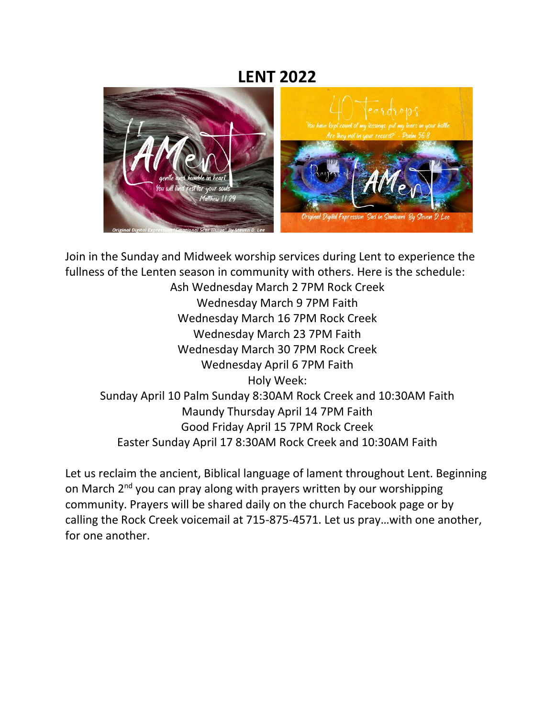## **LENT 2022**



Join in the Sunday and Midweek worship services during Lent to experience the fullness of the Lenten season in community with others. Here is the schedule:

Ash Wednesday March 2 7PM Rock Creek Wednesday March 9 7PM Faith Wednesday March 16 7PM Rock Creek Wednesday March 23 7PM Faith Wednesday March 30 7PM Rock Creek Wednesday April 6 7PM Faith Holy Week: Sunday April 10 Palm Sunday 8:30AM Rock Creek and 10:30AM Faith Maundy Thursday April 14 7PM Faith Good Friday April 15 7PM Rock Creek Easter Sunday April 17 8:30AM Rock Creek and 10:30AM Faith

Let us reclaim the ancient, Biblical language of lament throughout Lent. Beginning on March 2<sup>nd</sup> you can pray along with prayers written by our worshipping community. Prayers will be shared daily on the church Facebook page or by calling the Rock Creek voicemail at 715-875-4571. Let us pray…with one another, for one another.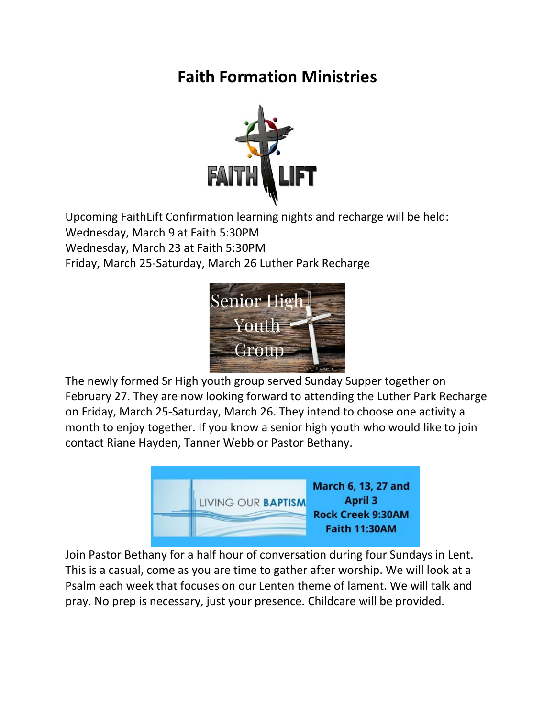# **Faith Formation Ministries**



Upcoming FaithLift Confirmation learning nights and recharge will be held: Wednesday, March 9 at Faith 5:30PM Wednesday, March 23 at Faith 5:30PM Friday, March 25-Saturday, March 26 Luther Park Recharge



The newly formed Sr High youth group served Sunday Supper together on February 27. They are now looking forward to attending the Luther Park Recharge on Friday, March 25-Saturday, March 26. They intend to choose one activity a month to enjoy together. If you know a senior high youth who would like to join contact Riane Hayden, Tanner Webb or Pastor Bethany.



Join Pastor Bethany for a half hour of conversation during four Sundays in Lent. This is a casual, come as you are time to gather after worship. We will look at a Psalm each week that focuses on our Lenten theme of lament. We will talk and pray. No prep is necessary, just your presence. Childcare will be provided.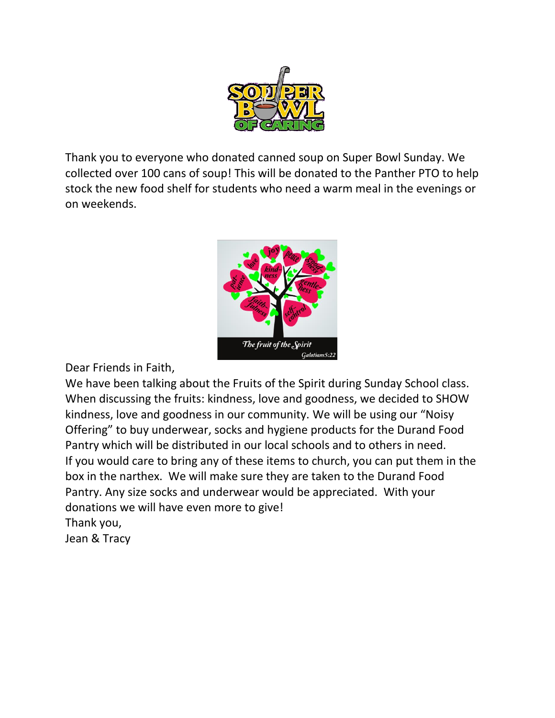

Thank you to everyone who donated canned soup on Super Bowl Sunday. We collected over 100 cans of soup! This will be donated to the Panther PTO to help stock the new food shelf for students who need a warm meal in the evenings or on weekends.



Dear Friends in Faith,

We have been talking about the Fruits of the Spirit during Sunday School class. When discussing the fruits: kindness, love and goodness, we decided to SHOW kindness, love and goodness in our community. We will be using our "Noisy Offering" to buy underwear, socks and hygiene products for the Durand Food Pantry which will be distributed in our local schools and to others in need. If you would care to bring any of these items to church, you can put them in the box in the narthex. We will make sure they are taken to the Durand Food Pantry. Any size socks and underwear would be appreciated. With your donations we will have even more to give! Thank you,

Jean & Tracy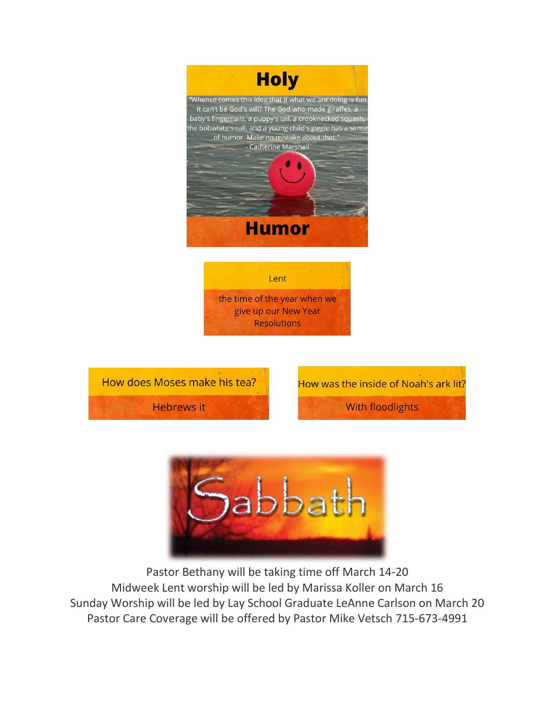





How was the inside of Noah's ark lit?

**With floodlights** 



Pastor Bethany will be taking time off March 14-20 Midweek Lent worship will be led by Marissa Koller on March 16 Sunday Worship will be led by Lay School Graduate LeAnne Carlson on March 20 Pastor Care Coverage will be offered by Pastor Mike Vetsch 715-673-4991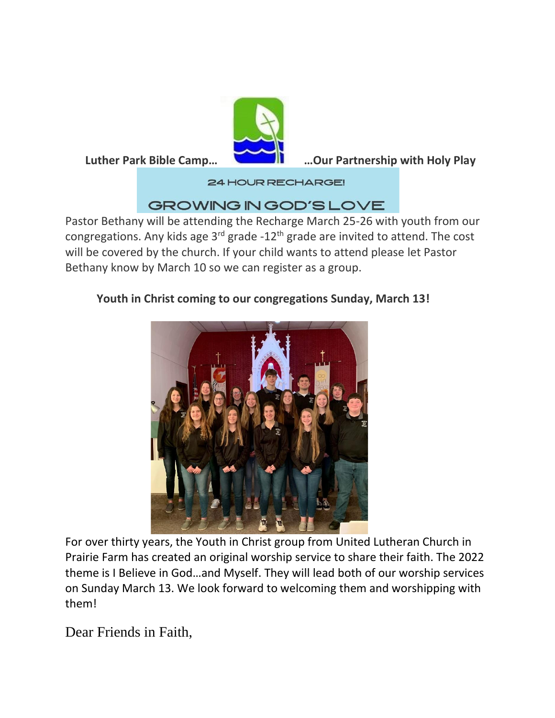

 **Luther Park Bible Camp… …Our Partnership with Holy Play** 

**24 HOUR RECHARGE!** 

## GROWING IN GOD'S LOVE

Pastor Bethany will be attending the Recharge March 25-26 with youth from our congregations. Any kids age  $3^{rd}$  grade -12<sup>th</sup> grade are invited to attend. The cost will be covered by the church. If your child wants to attend please let Pastor Bethany know by March 10 so we can register as a group.

### **Youth in Christ coming to our congregations Sunday, March 13!**



For over thirty years, the Youth in Christ group from United Lutheran Church in Prairie Farm has created an original worship service to share their faith. The 2022 theme is I Believe in God…and Myself. They will lead both of our worship services on Sunday March 13. We look forward to welcoming them and worshipping with them!

Dear Friends in Faith,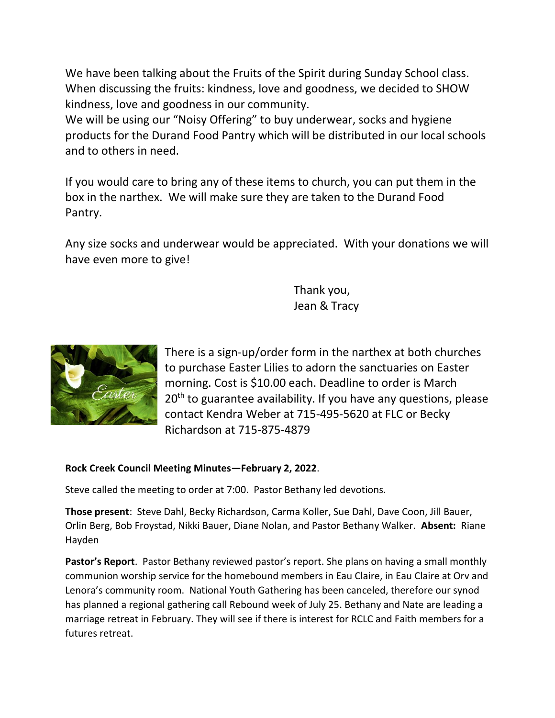We have been talking about the Fruits of the Spirit during Sunday School class. When discussing the fruits: kindness, love and goodness, we decided to SHOW kindness, love and goodness in our community.

We will be using our "Noisy Offering" to buy underwear, socks and hygiene products for the Durand Food Pantry which will be distributed in our local schools and to others in need.

If you would care to bring any of these items to church, you can put them in the box in the narthex. We will make sure they are taken to the Durand Food Pantry.

Any size socks and underwear would be appreciated. With your donations we will have even more to give!

> Thank you, Jean & Tracy



There is a sign-up/order form in the narthex at both churches to purchase Easter Lilies to adorn the sanctuaries on Easter morning. Cost is \$10.00 each. Deadline to order is March  $20<sup>th</sup>$  to guarantee availability. If you have any questions, please contact Kendra Weber at 715-495-5620 at FLC or Becky Richardson at 715-875-4879

#### **Rock Creek Council Meeting Minutes—February 2, 2022**.

Steve called the meeting to order at 7:00. Pastor Bethany led devotions.

**Those present**: Steve Dahl, Becky Richardson, Carma Koller, Sue Dahl, Dave Coon, Jill Bauer, Orlin Berg, Bob Froystad, Nikki Bauer, Diane Nolan, and Pastor Bethany Walker. **Absent:** Riane Hayden

**Pastor's Report**. Pastor Bethany reviewed pastor's report. She plans on having a small monthly communion worship service for the homebound members in Eau Claire, in Eau Claire at Orv and Lenora's community room. National Youth Gathering has been canceled, therefore our synod has planned a regional gathering call Rebound week of July 25. Bethany and Nate are leading a marriage retreat in February. They will see if there is interest for RCLC and Faith members for a futures retreat.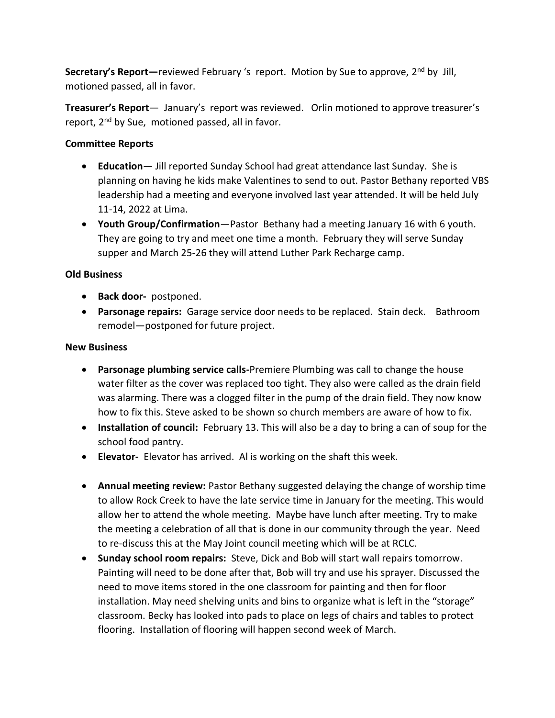Secretary's Report—reviewed February 's report. Motion by Sue to approve, 2<sup>nd</sup> by Jill, motioned passed, all in favor.

**Treasurer's Report**— January's report was reviewed. Orlin motioned to approve treasurer's report, 2nd by Sue, motioned passed, all in favor.

#### **Committee Reports**

- **Education** Jill reported Sunday School had great attendance last Sunday. She is planning on having he kids make Valentines to send to out. Pastor Bethany reported VBS leadership had a meeting and everyone involved last year attended. It will be held July 11-14, 2022 at Lima.
- **Youth Group/Confirmation**—Pastor Bethany had a meeting January 16 with 6 youth. They are going to try and meet one time a month. February they will serve Sunday supper and March 25-26 they will attend Luther Park Recharge camp.

#### **Old Business**

- **Back door-** postponed.
- **Parsonage repairs:** Garage service door needs to be replaced. Stain deck. Bathroom remodel—postponed for future project.

#### **New Business**

- **Parsonage plumbing service calls-**Premiere Plumbing was call to change the house water filter as the cover was replaced too tight. They also were called as the drain field was alarming. There was a clogged filter in the pump of the drain field. They now know how to fix this. Steve asked to be shown so church members are aware of how to fix.
- **Installation of council:** February 13. This will also be a day to bring a can of soup for the school food pantry.
- **Elevator-** Elevator has arrived. Al is working on the shaft this week.
- **Annual meeting review:** Pastor Bethany suggested delaying the change of worship time to allow Rock Creek to have the late service time in January for the meeting. This would allow her to attend the whole meeting. Maybe have lunch after meeting. Try to make the meeting a celebration of all that is done in our community through the year. Need to re-discuss this at the May Joint council meeting which will be at RCLC.
- **Sunday school room repairs:** Steve, Dick and Bob will start wall repairs tomorrow. Painting will need to be done after that, Bob will try and use his sprayer. Discussed the need to move items stored in the one classroom for painting and then for floor installation. May need shelving units and bins to organize what is left in the "storage" classroom. Becky has looked into pads to place on legs of chairs and tables to protect flooring. Installation of flooring will happen second week of March.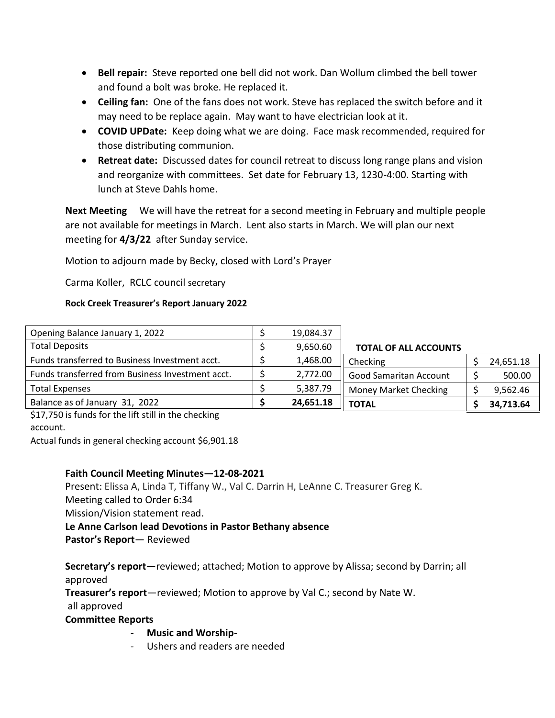- **Bell repair:** Steve reported one bell did not work. Dan Wollum climbed the bell tower and found a bolt was broke. He replaced it.
- **Ceiling fan:** One of the fans does not work. Steve has replaced the switch before and it may need to be replace again. May want to have electrician look at it.
- **COVID UPDate:** Keep doing what we are doing. Face mask recommended, required for those distributing communion.
- **Retreat date:** Discussed dates for council retreat to discuss long range plans and vision and reorganize with committees. Set date for February 13, 1230-4:00. Starting with lunch at Steve Dahls home.

**Next Meeting** We will have the retreat for a second meeting in February and multiple people are not available for meetings in March. Lent also starts in March. We will plan our next meeting for **4/3/22** after Sunday service.

Motion to adjourn made by Becky, closed with Lord's Prayer

Carma Koller, RCLC council secretary

#### **Rock Creek Treasurer's Report January 2022**

| Opening Balance January 1, 2022                  | 19,084.37 |                               |  |           |
|--------------------------------------------------|-----------|-------------------------------|--|-----------|
| <b>Total Deposits</b>                            | 9,650.60  | <b>TOTAL OF ALL ACCOUNTS</b>  |  |           |
| Funds transferred to Business Investment acct.   | 1,468.00  | Checking                      |  | 24,651.18 |
| Funds transferred from Business Investment acct. | 2,772.00  | <b>Good Samaritan Account</b> |  | 500.00    |
| <b>Total Expenses</b>                            | 5,387.79  | <b>Money Market Checking</b>  |  | 9,562.46  |
| Balance as of January 31, 2022                   | 24,651.18 | <b>TOTAL</b>                  |  | 34,713.64 |

\$17,750 is funds for the lift still in the checking

account.

Actual funds in general checking account \$6,901.18

#### **Faith Council Meeting Minutes—12-08-2021**

Present: Elissa A, Linda T, Tiffany W., Val C. Darrin H, LeAnne C. Treasurer Greg K. Meeting called to Order 6:34 Mission/Vision statement read. **Le Anne Carlson lead Devotions in Pastor Bethany absence** 

**Pastor's Report**— Reviewed

**Secretary's report**—reviewed; attached; Motion to approve by Alissa; second by Darrin; all approved

**Treasurer's report**—reviewed; Motion to approve by Val C.; second by Nate W.

all approved

#### **Committee Reports**

#### - **Music and Worship-**

- Ushers and readers are needed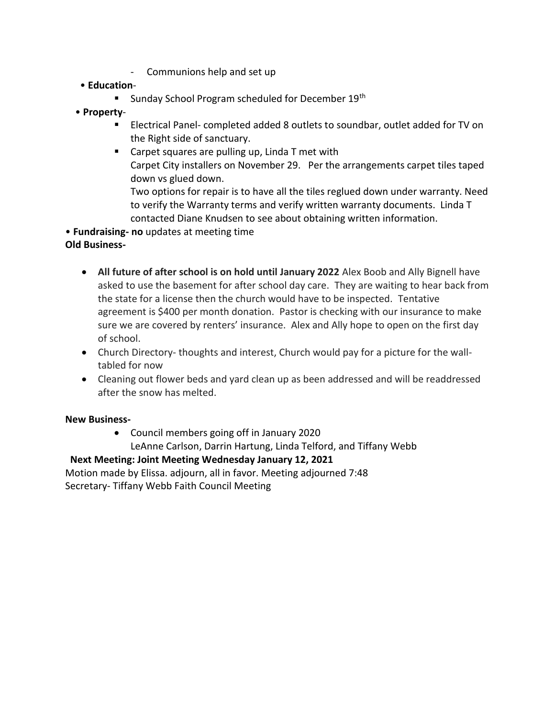- Communions help and set up
- **Education**
	- Sunday School Program scheduled for December 19<sup>th</sup>
- **Property**
	- Electrical Panel- completed added 8 outlets to soundbar, outlet added for TV on the Right side of sanctuary.
	- Carpet squares are pulling up, Linda T met with Carpet City installers on November 29. Per the arrangements carpet tiles taped down vs glued down.

Two options for repair is to have all the tiles reglued down under warranty. Need to verify the Warranty terms and verify written warranty documents. Linda T contacted Diane Knudsen to see about obtaining written information.

• **Fundraising- no** updates at meeting time

#### **Old Business-**

- **All future of after school is on hold until January 2022** Alex Boob and Ally Bignell have asked to use the basement for after school day care. They are waiting to hear back from the state for a license then the church would have to be inspected. Tentative agreement is \$400 per month donation. Pastor is checking with our insurance to make sure we are covered by renters' insurance. Alex and Ally hope to open on the first day of school.
- Church Directory- thoughts and interest, Church would pay for a picture for the walltabled for now
- Cleaning out flower beds and yard clean up as been addressed and will be readdressed after the snow has melted.

#### **New Business-**

• Council members going off in January 2020 LeAnne Carlson, Darrin Hartung, Linda Telford, and Tiffany Webb

#### **Next Meeting: Joint Meeting Wednesday January 12, 2021**

Motion made by Elissa. adjourn, all in favor. Meeting adjourned 7:48 Secretary- Tiffany Webb Faith Council Meeting